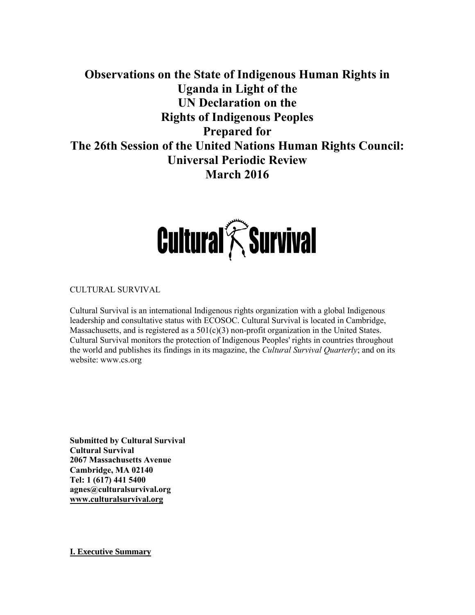# **Observations on the State of Indigenous Human Rights in Uganda in Light of the UN Declaration on the Rights of Indigenous Peoples Prepared for The 26th Session of the United Nations Human Rights Council: Universal Periodic Review March 2016**



CULTURAL SURVIVAL

Cultural Survival is an international Indigenous rights organization with a global Indigenous leadership and consultative status with ECOSOC. Cultural Survival is located in Cambridge, Massachusetts, and is registered as a  $501(c)(3)$  non-profit organization in the United States. Cultural Survival monitors the protection of Indigenous Peoples' rights in countries throughout the world and publishes its findings in its magazine, the *Cultural Survival Quarterly*; and on its website: www.cs.org

**Submitted by Cultural Survival Cultural Survival 2067 Massachusetts Avenue Cambridge, MA 02140 Tel: 1 (617) 441 5400 agnes@culturalsurvival.org [www.culturalsurvival.org](http://www.culturalsurvival.org/)**

**I. Executive Summary**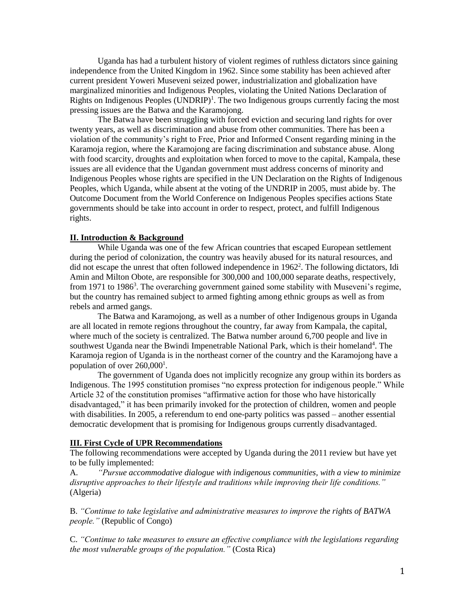Uganda has had a turbulent history of violent regimes of ruthless dictators since gaining independence from the United Kingdom in 1962. Since some stability has been achieved after current president Yoweri Museveni seized power, industrialization and globalization have marginalized minorities and Indigenous Peoples, violating the United Nations Declaration of Rights on Indigenous Peoples  $(UNDRIP)^1$ . The two Indigenous groups currently facing the most pressing issues are the Batwa and the Karamojong.

The Batwa have been struggling with forced eviction and securing land rights for over twenty years, as well as discrimination and abuse from other communities. There has been a violation of the community's right to Free, Prior and Informed Consent regarding mining in the Karamoja region, where the Karamojong are facing discrimination and substance abuse. Along with food scarcity, droughts and exploitation when forced to move to the capital, Kampala, these issues are all evidence that the Ugandan government must address concerns of minority and Indigenous Peoples whose rights are specified in the UN Declaration on the Rights of Indigenous Peoples, which Uganda, while absent at the voting of the UNDRIP in 2005, must abide by. The Outcome Document from the World Conference on Indigenous Peoples specifies actions State governments should be take into account in order to respect, protect, and fulfill Indigenous rights.

#### **II. Introduction & Background**

While Uganda was one of the few African countries that escaped European settlement during the period of colonization, the country was heavily abused for its natural resources, and did not escape the unrest that often followed independence in 1962 2 . The following dictators, Idi Amin and Milton Obote, are responsible for 300,000 and 100,000 separate deaths, respectively, from 1971 to 1986<sup>3</sup>. The overarching government gained some stability with Museveni's regime, but the country has remained subject to armed fighting among ethnic groups as well as from rebels and armed gangs.

The Batwa and Karamojong, as well as a number of other Indigenous groups in Uganda are all located in remote regions throughout the country, far away from Kampala, the capital, where much of the society is centralized. The Batwa number around 6,700 people and live in southwest Uganda near the Bwindi Impenetrable National Park, which is their homeland<sup>4</sup>. The Karamoja region of Uganda is in the northeast corner of the country and the Karamojong have a population of over  $260,000$ <sup>1</sup>.

The government of Uganda does not implicitly recognize any group within its borders as Indigenous. The 1995 constitution promises "no express protection for indigenous people." While Article 32 of the constitution promises "affirmative action for those who have historically disadvantaged," it has been primarily invoked for the protection of children, women and people with disabilities. In 2005, a referendum to end one-party politics was passed – another essential democratic development that is promising for Indigenous groups currently disadvantaged.

#### **III. First Cycle of UPR Recommendations**

The following recommendations were accepted by Uganda during the 2011 review but have yet to be fully implemented:

A. *"Pursue accommodative dialogue with indigenous communities, with a view to minimize disruptive approaches to their lifestyle and traditions while improving their life conditions."*  (Algeria)

B. *"Continue to take legislative and administrative measures to improve the rights of BATWA people."* (Republic of Congo)

C. *"Continue to take measures to ensure an effective compliance with the legislations regarding the most vulnerable groups of the population."* (Costa Rica)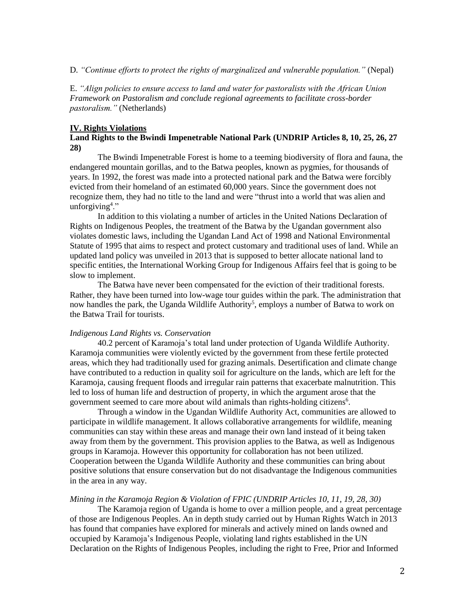D. *"Continue efforts to protect the rights of marginalized and vulnerable population."* (Nepal)

E. *"Align policies to ensure access to land and water for pastoralists with the African Union Framework on Pastoralism and conclude regional agreements to facilitate cross-border pastoralism."* (Netherlands)

#### **IV. Rights Violations**

## **Land Rights to the Bwindi Impenetrable National Park (UNDRIP Articles 8, 10, 25, 26, 27 28)**

The Bwindi Impenetrable Forest is home to a teeming biodiversity of flora and fauna, the endangered mountain gorillas, and to the Batwa peoples, known as pygmies, for thousands of years. In 1992, the forest was made into a protected national park and the Batwa were forcibly evicted from their homeland of an estimated 60,000 years. Since the government does not recognize them, they had no title to the land and were "thrust into a world that was alien and unforgiving<sup>4</sup>."

In addition to this violating a number of articles in the United Nations Declaration of Rights on Indigenous Peoples, the treatment of the Batwa by the Ugandan government also violates domestic laws, including the Ugandan Land Act of 1998 and National Environmental Statute of 1995 that aims to respect and protect customary and traditional uses of land. While an updated land policy was unveiled in 2013 that is supposed to better allocate national land to specific entities, the International Working Group for Indigenous Affairs feel that is going to be slow to implement.

The Batwa have never been compensated for the eviction of their traditional forests. Rather, they have been turned into low-wage tour guides within the park. The administration that now handles the park, the Uganda Wildlife Authority<sup>5</sup>, employs a number of Batwa to work on the Batwa Trail for tourists.

# *Indigenous Land Rights vs. Conservation*

40.2 percent of Karamoja's total land under protection of Uganda Wildlife Authority. Karamoja communities were violently evicted by the government from these fertile protected areas, which they had traditionally used for grazing animals. Desertification and climate change have contributed to a reduction in quality soil for agriculture on the lands, which are left for the Karamoja, causing frequent floods and irregular rain patterns that exacerbate malnutrition. This led to loss of human life and destruction of property, in which the argument arose that the government seemed to care more about wild animals than rights-holding citizens<sup>6</sup>.

Through a window in the Ugandan Wildlife Authority Act, communities are allowed to participate in wildlife management. It allows collaborative arrangements for wildlife, meaning communities can stay within these areas and manage their own land instead of it being taken away from them by the government. This provision applies to the Batwa, as well as Indigenous groups in Karamoja. However this opportunity for collaboration has not been utilized. Cooperation between the Uganda Wildlife Authority and these communities can bring about positive solutions that ensure conservation but do not disadvantage the Indigenous communities in the area in any way.

## *Mining in the Karamoja Region & Violation of FPIC (UNDRIP Articles 10, 11, 19, 28, 30)*

The Karamoja region of Uganda is home to over a million people, and a great percentage of those are Indigenous Peoples. An in depth study carried out by Human Rights Watch in 2013 has found that companies have explored for minerals and actively mined on lands owned and occupied by Karamoja's Indigenous People, violating land rights established in the UN Declaration on the Rights of Indigenous Peoples, including the right to Free, Prior and Informed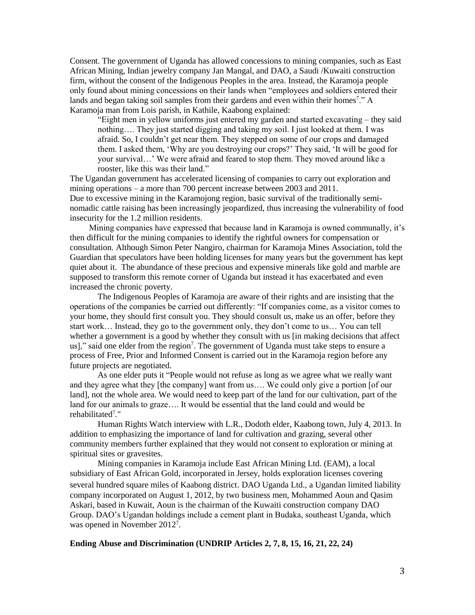Consent. The government of Uganda has allowed concessions to mining companies, such as East African Mining, Indian jewelry company Jan Mangal, and DAO, a Saudi /Kuwaiti construction firm, without the consent of the Indigenous Peoples in the area. Instead, the Karamoja people only found about mining concessions on their lands when "employees and soldiers entered their lands and began taking soil samples from their gardens and even within their homes<sup>7</sup>." A Karamoja man from Lois parish, in Kathile, Kaabong explained:

"Eight men in yellow uniforms just entered my garden and started excavating – they said nothing…. They just started digging and taking my soil. I just looked at them. I was afraid. So, I couldn't get near them. They stepped on some of our crops and damaged them. I asked them, 'Why are you destroying our crops?' They said, 'It will be good for your survival…' We were afraid and feared to stop them. They moved around like a rooster, like this was their land."

The Ugandan government has accelerated licensing of companies to carry out exploration and mining operations – a more than 700 percent increase between 2003 and 2011. Due to excessive mining in the Karamojong region, basic survival of the traditionally seminomadic cattle raising has been increasingly jeopardized, thus increasing the vulnerability of food insecurity for the 1.2 million residents.

 Mining companies have expressed that because land in Karamoja is owned communally, it's then difficult for the mining companies to identify the rightful owners for compensation or consultation. Although Simon Peter Nangiro, chairman for Karamoja Mines Association, told the Guardian that speculators have been holding licenses for many years but the government has kept quiet about it. The abundance of these precious and expensive minerals like gold and marble are supposed to transform this remote corner of Uganda but instead it has exacerbated and even increased the chronic poverty.

The Indigenous Peoples of Karamoja are aware of their rights and are insisting that the operations of the companies be carried out differently: "If companies come, as a visitor comes to your home, they should first consult you. They should consult us, make us an offer, before they start work… Instead, they go to the government only, they don't come to us… You can tell whether a government is a good by whether they consult with us [in making decisions that affect us]," said one elder from the region<sup>7</sup>. The government of Uganda must take steps to ensure a process of Free, Prior and Informed Consent is carried out in the Karamoja region before any future projects are negotiated.

As one elder puts it "People would not refuse as long as we agree what we really want and they agree what they [the company] want from us…. We could only give a portion [of our land], not the whole area. We would need to keep part of the land for our cultivation, part of the land for our animals to graze…. It would be essential that the land could and would be rehabilitated<sup>7</sup> *.*"

Human Rights Watch interview with L.R., Dodoth elder, Kaabong town, July 4, 2013. In addition to emphasizing the importance of land for cultivation and grazing, several other community members further explained that they would not consent to exploration or mining at spiritual sites or gravesites.

Mining companies in Karamoja include East African Mining Ltd. (EAM), a local subsidiary of East African Gold, incorporated in Jersey, holds exploration licenses covering several hundred square miles of Kaabong district. DAO Uganda Ltd., a Ugandan limited liability company incorporated on August 1, 2012, by two business men, Mohammed Aoun and Qasim Askari, based in Kuwait, Aoun is the chairman of the Kuwaiti construction company DAO Group. DAO's Ugandan holdings include a cement plant in Budaka, southeast Uganda, which was opened in November 2012<sup>7</sup>.

#### **Ending Abuse and Discrimination (UNDRIP Articles 2, 7, 8, 15, 16, 21, 22, 24)**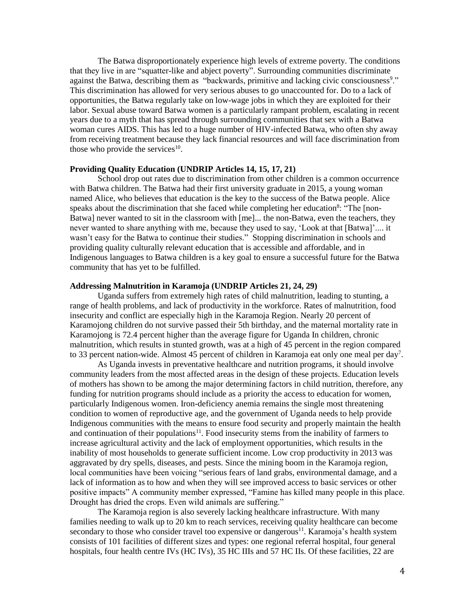The Batwa disproportionately experience high levels of extreme poverty. The conditions that they live in are "squatter-like and abject poverty". Surrounding communities discriminate against the Batwa, describing them as "backwards, primitive and lacking civic consciousness<sup>9</sup>." This discrimination has allowed for very serious abuses to go unaccounted for. Do to a lack of opportunities, the Batwa regularly take on low-wage jobs in which they are exploited for their labor. Sexual abuse toward Batwa women is a particularly rampant problem, escalating in recent years due to a myth that has spread through surrounding communities that sex with a Batwa woman cures AIDS. This has led to a huge number of HIV-infected Batwa, who often shy away from receiving treatment because they lack financial resources and will face discrimination from those who provide the services $10$ .

## **Providing Quality Education (UNDRIP Articles 14, 15, 17, 21)**

School drop out rates due to discrimination from other children is a common occurrence with Batwa children. The Batwa had their first university graduate in 2015, a young woman named Alice, who believes that education is the key to the success of the Batwa people. Alice speaks about the discrimination that she faced while completing her education<sup>8</sup>: "The [non-Batwa] never wanted to sit in the classroom with [me]... the non-Batwa, even the teachers, they never wanted to share anything with me, because they used to say, 'Look at that [Batwa]'.... it wasn't easy for the Batwa to continue their studies." Stopping discrimination in schools and providing quality culturally relevant education that is accessible and affordable, and in Indigenous languages to Batwa children is a key goal to ensure a successful future for the Batwa community that has yet to be fulfilled.

## **Addressing Malnutrition in Karamoja (UNDRIP Articles 21, 24, 29)**

Uganda suffers from extremely high rates of child malnutrition, leading to stunting, a range of health problems, and lack of productivity in the workforce. Rates of malnutrition, food insecurity and conflict are especially high in the Karamoja Region. Nearly 20 percent of Karamojong children do not survive passed their 5th birthday, and the maternal mortality rate in Karamojong is 72.4 percent higher than the average figure for Uganda In children, chronic malnutrition, which results in stunted growth, was at a high of 45 percent in the region compared to 33 percent nation-wide. Almost 45 percent of children in Karamoja eat only one meal per day<sup>7</sup>.

As Uganda invests in preventative healthcare and nutrition programs, it should involve community leaders from the most affected areas in the design of these projects. Education levels of mothers has shown to be among the major determining factors in child nutrition, therefore, any funding for nutrition programs should include as a priority the access to education for women, particularly Indigenous women. Iron-deficiency anemia remains the single most threatening condition to women of reproductive age, and the government of Uganda needs to help provide Indigenous communities with the means to ensure food security and properly maintain the health and continuation of their populations<sup>11</sup>. Food insecurity stems from the inability of farmers to increase agricultural activity and the lack of employment opportunities, which results in the inability of most households to generate sufficient income. Low crop productivity in 2013 was aggravated by dry spells, diseases, and pests. Since the mining boom in the Karamoja region, local communities have been voicing "serious fears of land grabs, environmental damage, and a lack of information as to how and when they will see improved access to basic services or other positive impacts" A community member expressed, "Famine has killed many people in this place. Drought has dried the crops. Even wild animals are suffering."

The Karamoja region is also severely lacking healthcare infrastructure. With many families needing to walk up to 20 km to reach services, receiving quality healthcare can become secondary to those who consider travel too expensive or dangerous<sup>11</sup>. Karamoja's health system consists of 101 facilities of different sizes and types: one regional referral hospital, four general hospitals, four health centre IVs (HC IVs), 35 HC IIIs and 57 HC IIs. Of these facilities, 22 are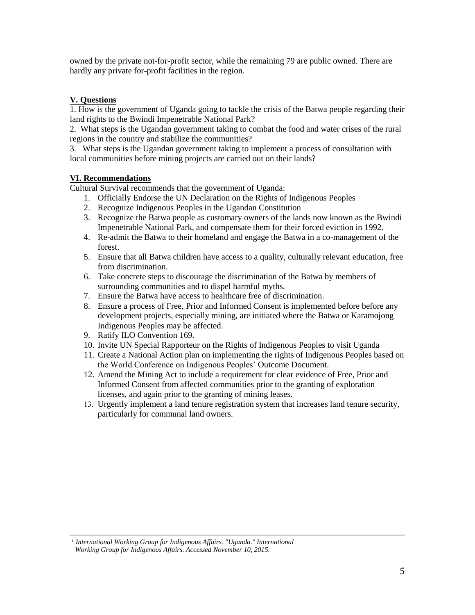owned by the private not-for-profit sector, while the remaining 79 are public owned. There are hardly any private for-profit facilities in the region.

# **V. Questions**

1. How is the government of Uganda going to tackle the crisis of the Batwa people regarding their land rights to the Bwindi Impenetrable National Park?

2. What steps is the Ugandan government taking to combat the food and water crises of the rural regions in the country and stabilize the communities?

3. What steps is the Ugandan government taking to implement a process of consultation with local communities before mining projects are carried out on their lands?

# **VI. Recommendations**

Cultural Survival recommends that the government of Uganda:

- 1. Officially Endorse the UN Declaration on the Rights of Indigenous Peoples
- 2. Recognize Indigenous Peoples in the Ugandan Constitution
- 3. Recognize the Batwa people as customary owners of the lands now known as the Bwindi Impenetrable National Park, and compensate them for their forced eviction in 1992.
- 4. Re-admit the Batwa to their homeland and engage the Batwa in a co-management of the forest.
- 5. Ensure that all Batwa children have access to a quality, culturally relevant education, free from discrimination.
- 6. Take concrete steps to discourage the discrimination of the Batwa by members of surrounding communities and to dispel harmful myths.
- 7. Ensure the Batwa have access to healthcare free of discrimination.
- 8. Ensure a process of Free, Prior and Informed Consent is implemented before before any development projects, especially mining, are initiated where the Batwa or Karamojong Indigenous Peoples may be affected.
- 9. Ratify ILO Convention 169.
- 10. Invite UN Special Rapporteur on the Rights of Indigenous Peoples to visit Uganda
- 11. Create a National Action plan on implementing the rights of Indigenous Peoples based on the World Conference on Indigenous Peoples' Outcome Document.
- 12. Amend the Mining Act to include a requirement for clear evidence of Free, Prior and Informed Consent from affected communities prior to the granting of exploration licenses, and again prior to the granting of mining leases.
- 13. Urgently implement a land tenure registration system that increases land tenure security, particularly for communal land owners.

*<sup>1</sup> International Working Group for Indigenous Affairs. "Uganda." International Working Group for Indigenous Affairs. Accessed November 10, 2015.*